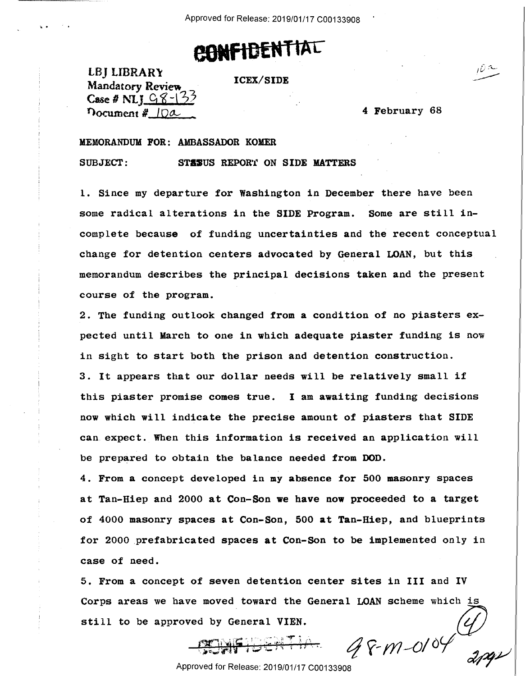Approved for Release: 2019/01/17 C00133908 **Proved for Release**: 2019/01/17 200133908

## **OONf 1D£NT IAC**

LBJ LIBRAR\' Mandatory Review  $\sim$  10  $\mu$  . The must be made to  $\mu$ **Case # NI;**  $98 - 133$  $\eta$  ocument  $\frac{m}{2}$  . The set of  $\frac{10a}{2}$  is a set of  $\frac{4}{2}$  February 68 LBJ LIBRARY. ICEX/SIDE <sup>I</sup> . 'I/

**ICEX/SIDE** 

4 February 68

## **MEMORANDUM FOR: AMBASSADOR KOMER**  MEMORANDUM FOR: AMBASSADOR KOMER

SUBJECT: **STASUS REPORT ON SIDE MATTERS** 

l. Since my departure for Washington in December there have been 1. Since my departure for Washington in December there have been some radical alterations in the SIDE Program. Some are still incomplete because of funding uncertainties and the recent conceptual change for detention centers advocated by General LOAN, but this memorandum describes the principal decisions taken and the present memorandum describes the principal decisions taken and the present course of the program.

2. The funding outlook changed from a condition of no piasters ex- $\qquad \qquad \mid$ pected until March to one in which adequate piaster funding is now  $\qquad \qquad \Big|$ in sight to start both the prison and detention construction. in sight to start both the prison and detention construction.

3. It appears that our dollar needs will be relatively small if 3. It appears that our dollar needs will be relatively small if this piaster promise comes true. I am **awaiting** funding decisions this piaster promise comes true. I am awaiting funding decisions now which will indicate the precise amount of piasters that SIDE  $\qquad \qquad \Big\vert$ can. expect. When this information is received an application will can.expect. When this information is received an application will be prepared to obtain the balance needed from DOD. be prepared to obtain the balance needed from DOD.

4. From a concept developed in my absence for 500 masonry spaces 4. From <sup>a</sup> concept developed in my absence for 500 masonry spaces at Tan-Hiep and 2000 at Con-Son we have now proceeded to a target at Tan—Hiep and 2000 at Con—Son we have now proceeded to'a target of 4000 masonry spaces at Con-Son, 500 at Tan-Hiep, and blueprints of 4000 masonry spaces at Con—Son, 500 at Tan—Hiep, and blueprints for 2000 prefabricated spaces at Con-Son to be implemented only in case of need. case of need.

5. From a concept of seven detention center sites in III and IV 5. From <sup>a</sup> concept of seven detention center sites in III and IV Corps areas we have moved toward the General LOAN scheme which is '\ still to be approved by General VIEN.

, a by defield them.<br>
G  $\sqrt{6}$  M-01 <sup>04</sup> 2001

Approved for Release: 2019/01/17 C00133908 Approved for Release: 2019/01/17 000133908